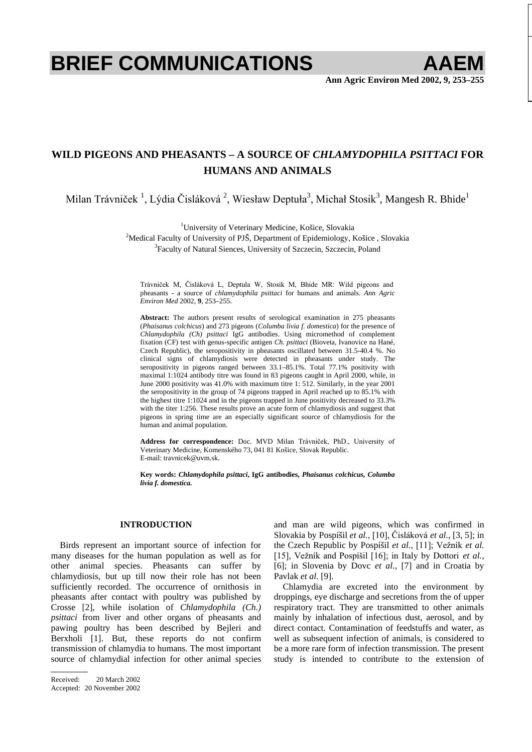# **BRIEF COMMUNICATIONS AAEM**

**Ann Agric Environ Med 2002, 9, 253–255**

# **WILD PIGEONS AND PHEASANTS – A SOURCE OF** *CHLAMYDOPHILA PSITTACI* **FOR HUMANS AND ANIMALS**

Milan Trávniček  $^1$ , Lýdia Čisláková  $^2$ , Wiesław Deptuła $^3$ , Michał Stosik $^3$ , Mangesh R. Bhide $^1$ 

<sup>1</sup>University of Veterinary Medicine, Košice, Slovakia<sup>2</sup><br><sup>2</sup>Medical Faculty of University of PI<sup>K</sup>, Department of Enidemialagy, K

<sup>2</sup>Medical Faculty of University of PJŠ, Department of Epidemiology, Košice, Slovakia <sup>3</sup>Faculty of Natural Siences, University of Szczecin, Szczecin, Poland

Trávniček M, Čisláková L, Deptula W, Stosik M, Bhide MR: Wild pigeons and pheasants - a source of *chlamydophila psittaci* for humans and animals. *Ann Agric Environ Med* 2002, **9**, 253–255.

**Abstract:** The authors present results of serological examination in 275 pheasants (*Phaisanus colchicus*) and 273 pigeons (*Columba livia f. domestica*) for the presence of *Chlamydophila (Ch) psittaci* IgG antibodies. Using micromethod of complement fixation (CF) test with genus-specific antigen *Ch. psittaci* (Bioveta, Ivanovice na Hané, Czech Republic), the seropositivity in pheasants oscillated between 31.5-40.4 %. No clinical signs of chlamydiosis were detected in pheasants under study. The seropositivity in pigeons ranged between 33.1–85.1%. Total 77.1% positivity with maximal 1:1024 antibody titre was found in 83 pigeons caught in April 2000, while, in June 2000 positivity was 41.0% with maximum titre 1: 512. Similarly, in the year 2001 the seropositivity in the group of 74 pigeons trapped in April reached up to 85.1% with the highest titre 1:1024 and in the pigeons trapped in June positivity decreased to 33.3% with the titer 1:256. These results prove an acute form of chlamydiosis and suggest that pigeons in spring time are an especially significant source of chlamydiosis for the human and animal population.

Address for correspondence: Doc. MVD Milan Trávniček, PhD., University of Veterinary Medicine, Komenského 73, 041 81 Košice, Slovak Republic. E-mail: travnicek@uvm.sk.

**Key words:** *Chlamydophila psittaci***, IgG antibodies,** *Phaisanus colchicus, Columba livia f. domestica.* 

## **INTRODUCTION**

Birds represent an important source of infection for many diseases for the human population as well as for other animal species. Pheasants can suffer by chlamydiosis, but up till now their role has not been sufficiently recorded. The occurrence of ornithosis in pheasants after contact with poultry was published by Crosse [2], while isolation of *Chlamydophila (Ch.) psittaci* from liver and other organs of pheasants and pawing poultry has been described by Bejleri and Berxholi [1]. But, these reports do not confirm transmission of chlamydia to humans. The most important source of chlamydial infection for other animal species and man are wild pigeons, which was confirmed in Slovakia by Pospíšil *et al.*, [10], Čisláková *et al.*, [3, 5]; in the Czech Republic by Pospíšil et al., [11]; Vežník et al. [15], Vežník and Pospíšil  $[16]$ ; in Italy by Dottori *et al.*, [6]; in Slovenia by Dovc *et al.*, [7] and in Croatia by Pavlak *et al.* [9].

Chlamydia are excreted into the environment by droppings, eye discharge and secretions from the of upper respiratory tract. They are transmitted to other animals mainly by inhalation of infectious dust, aerosol, and by direct contact. Contamination of feedstuffs and water, as well as subsequent infection of animals, is considered to be a more rare form of infection transmission. The present study is intended to contribute to the extension of

Received: 20 March 2002 Accepted: 20 November 2002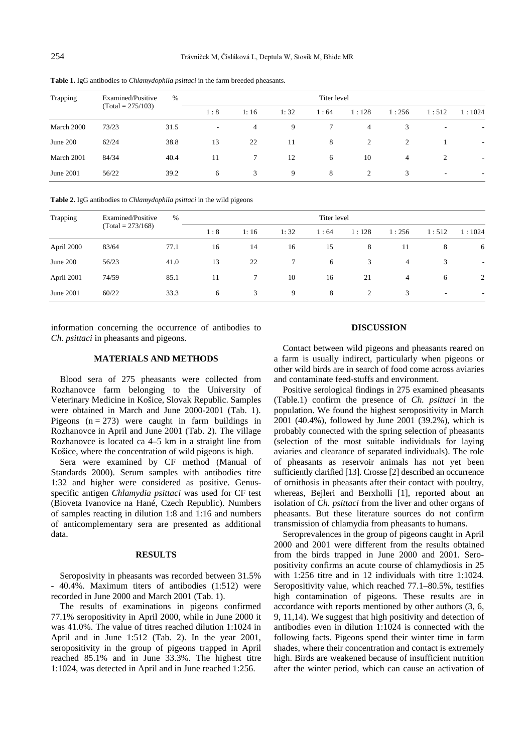| Trapping   | Examined/Positive<br>$(Total = 275/103)$ | $\%$ | Titer level |      |      |      |                |       |                          |                          |  |
|------------|------------------------------------------|------|-------------|------|------|------|----------------|-------|--------------------------|--------------------------|--|
|            |                                          |      | 1:8         | 1:16 | 1:32 | 1:64 | 1:128          | 1:256 | 1:512                    | 1:1024                   |  |
| March 2000 | 73/23                                    | 31.5 | $\sim$      | 4    | 9    | 7    | $\overline{4}$ | 3     | $\overline{\phantom{a}}$ | $\overline{\phantom{a}}$ |  |
| June $200$ | 62/24                                    | 38.8 | 13          | 22   | 11   | 8    | 2              | 2     |                          | ۰                        |  |
| March 2001 | 84/34                                    | 40.4 | 11          | 7    | 12   | 6    | 10             | 4     | 2                        | ٠                        |  |
| June 2001  | 56/22                                    | 39.2 | 6           | 3    | 9    | 8    | 2              | 3     | $\overline{\phantom{a}}$ | $\overline{\phantom{a}}$ |  |

**Table 1.** IgG antibodies to *Chlamydophila psittaci* in the farm breeded pheasants.

**Table 2.** IgG antibodies to *Chlamydophila psittaci* in the wild pigeons

| Trapping   | Examined/Positive<br>$(Total = 273/168)$ | $\%$ |     |      |      |      |       |                |                          |                |
|------------|------------------------------------------|------|-----|------|------|------|-------|----------------|--------------------------|----------------|
|            |                                          |      | 1:8 | 1:16 | 1:32 | 1:64 | 1:128 | 1:256          | 1:512                    | 1:1024         |
| April 2000 | 83/64                                    | 77.1 | 16  | 14   | 16   | 15   | 8     | 11             | 8                        | 6              |
| June 200   | 56/23                                    | 41.0 | 13  | 22   | 7    | 6    | 3     | $\overline{4}$ | 3                        | $\overline{a}$ |
| April 2001 | 74/59                                    | 85.1 | 11  | 7    | 10   | 16   | 21    | 4              | 6                        | 2              |
| June 2001  | 60/22                                    | 33.3 | 6   | 3    | 9    | 8    | 2     | 3              | $\overline{\phantom{a}}$ | ٠              |

information concerning the occurrence of antibodies to *Ch. psittaci* in pheasants and pigeons.

### **MATERIALS AND METHODS**

Blood sera of 275 pheasants were collected from Rozhanovce farm belonging to the University of Veterinary Medicine in Košice, Slovak Republic. Samples were obtained in March and June 2000-2001 (Tab. 1). Pigeons  $(n = 273)$  were caught in farm buildings in Rozhanovce in April and June 2001 (Tab. 2). The village Rozhanovce is located ca 4–5 km in a straight line from Košice, where the concentration of wild pigeons is high.

Sera were examined by CF method (Manual of Standards 2000). Serum samples with antibodies titre 1:32 and higher were considered as positive. Genusspecific antigen *Chlamydia psittaci* was used for CF test (Bioveta Ivanovice na Hané, Czech Republic). Numbers of samples reacting in dilution 1:8 and 1:16 and numbers of anticomplementary sera are presented as additional data.

#### **RESULTS**

Seroposivity in pheasants was recorded between 31.5% - 40.4%. Maximum titers of antibodies (1:512) were recorded in June 2000 and March 2001 (Tab. 1).

The results of examinations in pigeons confirmed 77.1% seropositivity in April 2000, while in June 2000 it was 41.0%. The value of titres reached dilution 1:1024 in April and in June 1:512 (Tab. 2). In the year 2001, seropositivity in the group of pigeons trapped in April reached 85.1% and in June 33.3%. The highest titre 1:1024, was detected in April and in June reached 1:256.

### **DISCUSSION**

Contact between wild pigeons and pheasants reared on a farm is usually indirect, particularly when pigeons or other wild birds are in search of food come across aviaries and contaminate feed-stuffs and environment.

Positive serological findings in 275 examined pheasants (Table.1) confirm the presence of *Ch. psittaci* in the population. We found the highest seropositivity in March 2001 (40.4%), followed by June 2001 (39.2%), which is probably connected with the spring selection of pheasants (selection of the most suitable individuals for laying aviaries and clearance of separated individuals). The role of pheasants as reservoir animals has not yet been sufficiently clarified [13]. Crosse [2] described an occurrence of ornithosis in pheasants after their contact with poultry, whereas, Bejleri and Berxholli [1], reported about an isolation of *Ch. psittaci* from the liver and other organs of pheasants. But these literature sources do not confirm transmission of chlamydia from pheasants to humans.

Seroprevalences in the group of pigeons caught in April 2000 and 2001 were different from the results obtained from the birds trapped in June 2000 and 2001. Seropositivity confirms an acute course of chlamydiosis in 25 with 1:256 titre and in 12 individuals with titre 1:1024. Seropositivity value, which reached 77.1–80.5%, testifies high contamination of pigeons. These results are in accordance with reports mentioned by other authors (3, 6, 9, 11,14). We suggest that high positivity and detection of antibodies even in dilution 1:1024 is connected with the following facts. Pigeons spend their winter time in farm shades, where their concentration and contact is extremely high. Birds are weakened because of insufficient nutrition after the winter period, which can cause an activation of